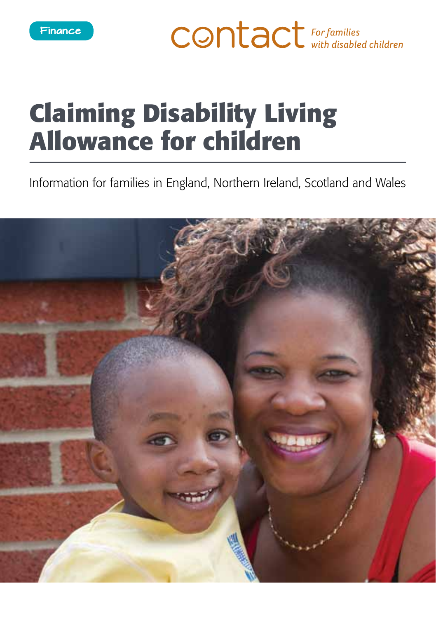**CONTACT** For families

# **Claiming Disability Living Allowance for children**

Information for families in England, Northern Ireland, Scotland and Wales

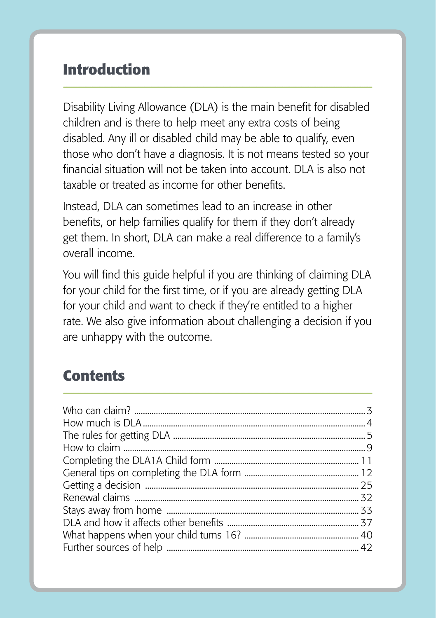## **Introduction**

Disability Living Allowance (DLA) is the main benefit for disabled children and is there to help meet any extra costs of being disabled. Any ill or disabled child may be able to qualify, even those who don't have a diagnosis. It is not means tested so your financial situation will not be taken into account. DLA is also not taxable or treated as income for other benefits.

Instead, DLA can sometimes lead to an increase in other benefits, or help families qualify for them if they don't already get them. In short, DLA can make a real difference to a family's overall income.

You will find this guide helpful if you are thinking of claiming DLA for your child for the first time, or if you are already getting DLA for your child and want to check if they're entitled to a higher rate. We also give information about challenging a decision if you are unhappy with the outcome.

# **Contents**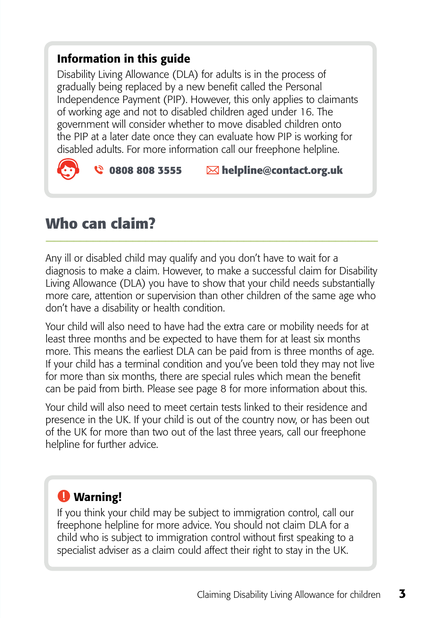#### Information in this guide

Disability Living Allowance (DLA) for adults is in the process of gradually being replaced by a new benefit called the Personal Independence Payment (PIP). However, this only applies to claimants of working age and not to disabled children aged under 16. The government will consider whether to move disabled children onto the PIP at a later date once they can evaluate how PIP is working for disabled adults. For more information call our freephone helpline.

## $\bullet$  0808 808 3555  $\blacksquare$  helpline@contact.org.uk

## **Who can claim?**

Any ill or disabled child may qualify and you don't have to wait for a diagnosis to make a claim. However, to make a successful claim for Disability Living Allowance (DLA) you have to show that your child needs substantially more care, attention or supervision than other children of the same age who don't have a disability or health condition.

Your child will also need to have had the extra care or mobility needs for at least three months and be expected to have them for at least six months more. This means the earliest DLA can be paid from is three months of age. If your child has a terminal condition and you've been told they may not live for more than six months, there are special rules which mean the benefit can be paid from birth. Please see page 8 for more information about this.

Your child will also need to meet certain tests linked to their residence and presence in the UK. If your child is out of the country now, or has been out of the UK for more than two out of the last three years, call our freephone helpline for further advice.

## **O** Warning!

If you think your child may be subject to immigration control, call our freephone helpline for more advice. You should not claim DLA for a child who is subject to immigration control without first speaking to a specialist adviser as a claim could affect their right to stay in the UK.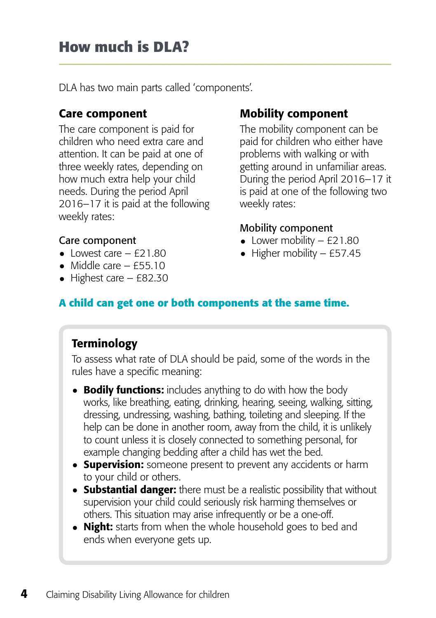DLA has two main parts called 'components'.

#### Care component

The care component is paid for children who need extra care and attention. It can be paid at one of three weekly rates, depending on how much extra help your child needs. During the period April 2016–17 it is paid at the following weekly rates:

## Mobility component

The mobility component can be paid for children who either have problems with walking or with getting around in unfamiliar areas. During the period April 2016–17 it is paid at one of the following two weekly rates:

#### Mobility component

- Lower mobility  $-$  £21.80
- $\bullet$  Higher mobility £57.45

#### Care component

- Lowest care  $-$  £21.80
- Middle care  $-$  £55.10
- Highest care  $-$  £82.30

#### **A child can get one or both components at the same time.**

#### **Terminology**

To assess what rate of DLA should be paid, some of the words in the rules have a specific meaning:

- Bodily functions: includes anything to do with how the body works, like breathing, eating, drinking, hearing, seeing, walking, sitting, dressing, undressing, washing, bathing, toileting and sleeping. If the help can be done in another room, away from the child, it is unlikely to count unless it is closely connected to something personal, for example changing bedding after a child has wet the bed.
- Supervision: someone present to prevent any accidents or harm to your child or others.
- Substantial danger: there must be a realistic possibility that without supervision your child could seriously risk harming themselves or others. This situation may arise infrequently or be a one-off.
- Night: starts from when the whole household goes to bed and ends when everyone gets up.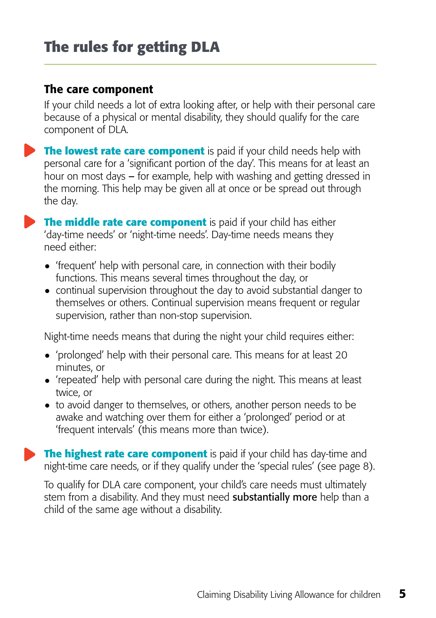#### The care component

If your child needs a lot of extra looking after, or help with their personal care because of a physical or mental disability, they should qualify for the care component of DLA.

**The lowest rate care component** is paid if your child needs help with personal care for a 'significant portion of the day'. This means for at least an hour on most days – for example, help with washing and getting dressed in the morning. This help may be given all at once or be spread out through the day.

**The middle rate care component** is paid if your child has either 'day-time needs' or 'night-time needs'. Day-time needs means they need either:

- 'frequent' help with personal care, in connection with their bodily functions. This means several times throughout the day, or
- continual supervision throughout the day to avoid substantial danger to themselves or others. Continual supervision means frequent or regular supervision, rather than non-stop supervision.

Night-time needs means that during the night your child requires either:

- 'prolonged' help with their personal care. This means for at least 20 minutes, or
- 'repeated' help with personal care during the night. This means at least twice, or
- to avoid danger to themselves, or others, another person needs to be awake and watching over them for either a 'prolonged' period or at 'frequent intervals' (this means more than twice).

**The highest rate care component** is paid if your child has day-time and night-time care needs, or if they qualify under the 'special rules' (see page 8).

To qualify for DLA care component, your child's care needs must ultimately stem from a disability. And they must need **substantially more** help than a child of the same age without a disability.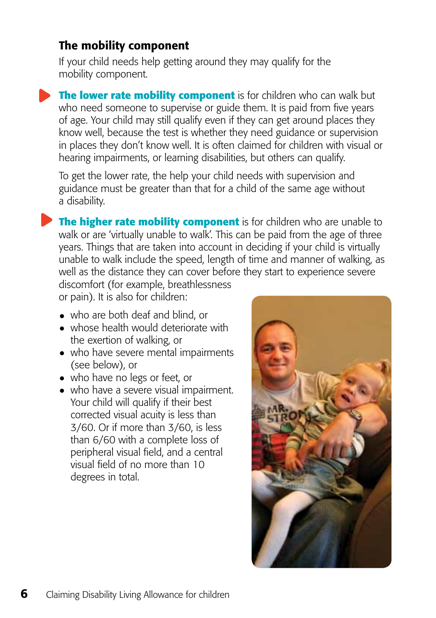#### The mobility component

If your child needs help getting around they may qualify for the mobility component.

**The lower rate mobility component** is for children who can walk but who need someone to supervise or guide them. It is paid from five years of age. Your child may still qualify even if they can get around places they know well, because the test is whether they need guidance or supervision in places they don't know well. It is often claimed for children with visual or hearing impairments, or learning disabilities, but others can qualify.

To get the lower rate, the help your child needs with supervision and guidance must be greater than that for a child of the same age without a disability.

**The higher rate mobility component** is for children who are unable to walk or are 'virtually unable to walk'. This can be paid from the age of three years. Things that are taken into account in deciding if your child is virtually unable to walk include the speed, length of time and manner of walking, as well as the distance they can cover before they start to experience severe

discomfort (for example, breathlessness or pain). It is also for children:

- who are both deaf and blind, or
- whose health would deteriorate with the exertion of walking, or
- who have severe mental impairments (see below), or
- who have no legs or feet, or
- who have a severe visual impairment. Your child will qualify if their best corrected visual acuity is less than 3/60. Or if more than 3/60, is less than 6/60 with a complete loss of peripheral visual field, and a central visual field of no more than 10 degrees in total.

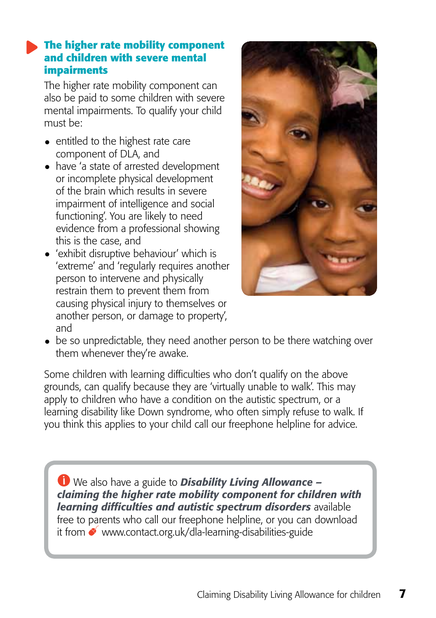#### **The higher rate mobility component and children with severe mental impairments**

The higher rate mobility component can also be paid to some children with severe mental impairments. To qualify your child must be:

- entitled to the highest rate care component of DLA, and
- have 'a state of arrested development or incomplete physical development of the brain which results in severe impairment of intelligence and social functioning'. You are likely to need evidence from a professional showing this is the case, and
- 'exhibit disruptive behaviour' which is 'extreme' and 'regularly requires another person to intervene and physically restrain them to prevent them from causing physical injury to themselves or another person, or damage to property', and



• be so unpredictable, they need another person to be there watching over them whenever they're awake.

Some children with learning difficulties who don't qualify on the above grounds, can qualify because they are 'virtually unable to walk'. This may apply to children who have a condition on the autistic spectrum, or a learning disability like Down syndrome, who often simply refuse to walk. If you think this applies to your child call our freephone helpline for advice.

We also have a guide to *Disability Living Allowance – claiming the higher rate mobility component for children with learning difficulties and autistic spectrum disorders* available free to parents who call our freephone helpline, or you can download it from [www.contact.org.uk/dla-learning-disabilities-guide](http://www.cafamily.org.uk/dla-learning-disabilities-guide)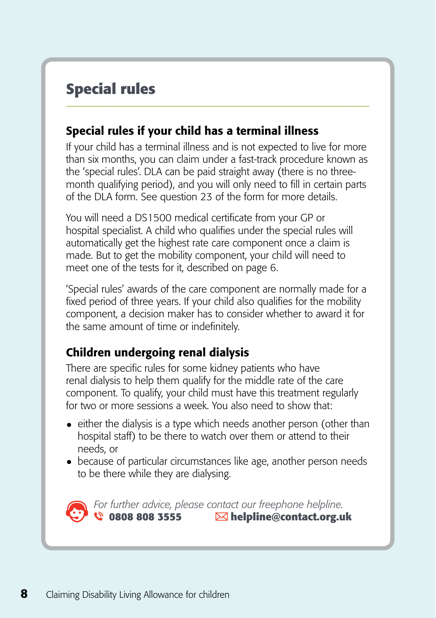# **Special rules**

#### Special rules if your child has a terminal illness

If your child has a terminal illness and is not expected to live for more than six months, you can claim under a fast-track procedure known as the 'special rules'. DLA can be paid straight away (there is no threemonth qualifying period), and you will only need to fill in certain parts of the DLA form. See question 23 of the form for more details.

You will need a DS1500 medical certificate from your GP or hospital specialist. A child who qualifies under the special rules will automatically get the highest rate care component once a claim is made. But to get the mobility component, your child will need to meet one of the tests for it, described on page 6.

'Special rules' awards of the care component are normally made for a fixed period of three years. If your child also qualifies for the mobility component, a decision maker has to consider whether to award it for the same amount of time or indefinitely.

#### Children undergoing renal dialysis

There are specific rules for some kidney patients who have renal dialysis to help them qualify for the middle rate of the care component. To qualify, your child must have this treatment regularly for two or more sessions a week. You also need to show that:

- $\bullet$  either the dialysis is a type which needs another person (other than hospital staff) to be there to watch over them or attend to their needs, or
- because of particular circumstances like age, another person needs to be there while they are dialysing.



*For further advice, please contact our freephone helpline.*<br> **C** 0808 808 3555 **Melpline@contact.org.u** **0808 808 3555 helpline@contact.org.uk**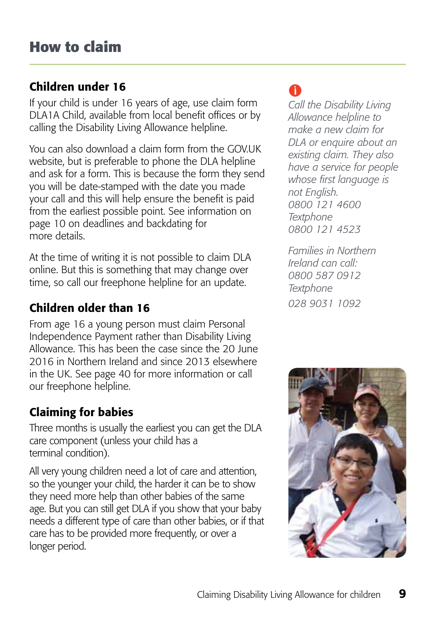#### Children under 16

If your child is under 16 years of age, use claim form DLA1A Child, available from local benefit offices or by calling the Disability Living Allowance helpline.

You can also download a claim form from the GOV.UK website, but is preferable to phone the DLA helpline and ask for a form. This is because the form they send you will be date-stamped with the date you made your call and this will help ensure the benefit is paid from the earliest possible point. See information on page 10 on deadlines and backdating for more details.

At the time of writing it is not possible to claim DLA online. But this is something that may change over time, so call our freephone helpline for an update.

## Children older than 16

From age 16 a young person must claim Personal Independence Payment rather than Disability Living Allowance. This has been the case since the 20 June 2016 in Northern Ireland and since 2013 elsewhere in the UK. See page 40 for more information or call our freephone helpline.

## Claiming for babies

Three months is usually the earliest you can get the DLA care component (unless your child has a terminal condition).

All very young children need a lot of care and attention, so the younger your child, the harder it can be to show they need more help than other babies of the same age. But you can still get DLA if you show that your baby needs a different type of care than other babies, or if that care has to be provided more frequently, or over a longer period.

# A

*Call the Disability Living Allowance helpline to make a new claim for DLA or enquire about an existing claim. They also have a service for people whose first language is not English. 0800 121 4600 Textphone 0800 121 4523*

*Families in Northern Ireland can call: 0800 587 0912 Textphone 028 9031 1092*

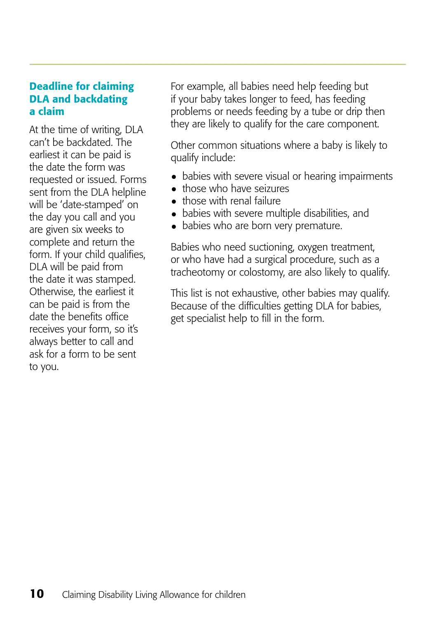#### Deadline for claiming DLA and backdating a claim

At the time of writing, DLA can't be backdated. The earliest it can be paid is the date the form was requested or issued. Forms sent from the DLA helpline will be 'date-stamped' on the day you call and you are given six weeks to complete and return the form. If your child qualifies, DLA will be paid from the date it was stamped. Otherwise, the earliest it can be paid is from the date the benefits office receives your form, so it's always better to call and ask for a form to be sent to you.

For example, all babies need help feeding but if your baby takes longer to feed, has feeding problems or needs feeding by a tube or drip then they are likely to qualify for the care component.

Other common situations where a baby is likely to qualify include:

- babies with severe visual or hearing impairments
- those who have seizures
- those with renal failure
- babies with severe multiple disabilities, and
- babies who are born very premature.

Babies who need suctioning, oxygen treatment, or who have had a surgical procedure, such as a tracheotomy or colostomy, are also likely to qualify.

This list is not exhaustive, other babies may qualify. Because of the difficulties getting DLA for babies, get specialist help to fill in the form.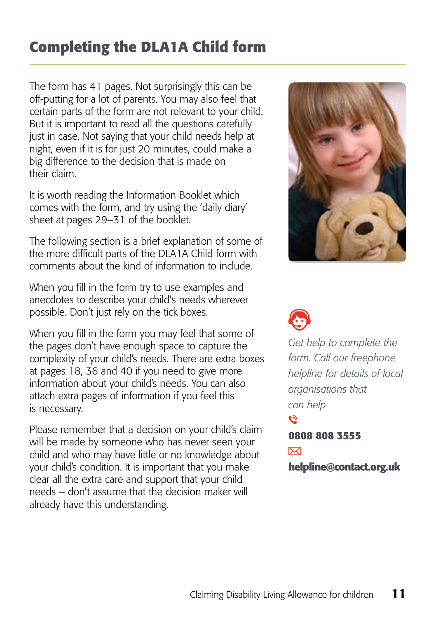# **Completing the DLA1A Child form**

The form has 41 pages. Not surprisingly this can be off-putting for a lot of parents. You may also feel that certain parts of the form are not relevant to your child. But it is important to read all the questions carefully just in case. Not saying that your child needs help at night, even if it is for just 20 minutes, could make a big difference to the decision that is made on their claim.

It is worth reading the Information Booklet which comes with the form, and try using the 'daily diary' sheet at pages 29–31 of the booklet.

The following section is a brief explanation of some of the more difficult parts of the DLA1A Child form with comments about the kind of information to include.

When you fill in the form try to use examples and anecdotes to describe your child's needs wherever possible. Don't just rely on the tick boxes.

When you fill in the form you may feel that some of the pages don't have enough space to capture the complexity of your child's needs. There are extra boxes at pages 18, 36 and 40 if you need to give more information about your child's needs. You can also attach extra pages of information if you feel this is necessary.

Please remember that a decision on your child's claim will be made by someone who has never seen your child and who may have little or no knowledge about your child's condition. It is important that you make clear all the extra care and support that your child needs – don't assume that the decision maker will already have this understanding.





*Get help to complete the form. Call our freephone helpline for details of local organisations that can help* 

 $\tilde{\mathcal{Q}}$ **0808 808 3555**  ⊠

**helpline@contact.org.uk**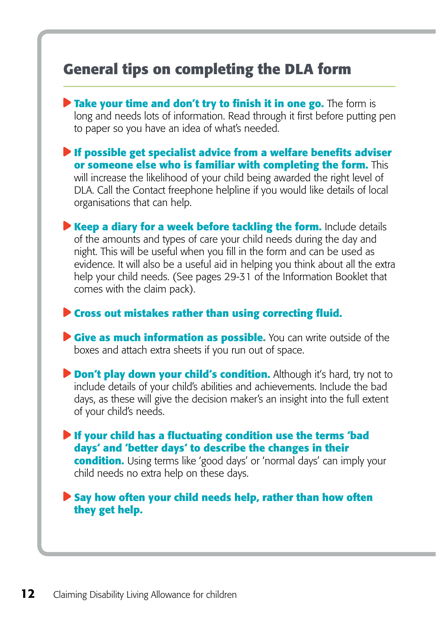## **General tips on completing the DLA form**

**Take your time and don't try to finish it in one go.** The form is long and needs lots of information. Read through it first before putting pen to paper so you have an idea of what's needed.

**If possible get specialist advice from a welfare benefits adviser or someone else who is familiar with completing the form.** This will increase the likelihood of your child being awarded the right level of DLA. Call the Contact freephone helpline if you would like details of local organisations that can help.

**Keep a diary for a week before tackling the form.** Include details of the amounts and types of care your child needs during the day and night. This will be useful when you fill in the form and can be used as evidence. It will also be a useful aid in helping you think about all the extra help your child needs. (See pages 29-31 of the Information Booklet that comes with the claim pack).

#### **Cross out mistakes rather than using correcting fluid.**

**Cive as much information as possible.** You can write outside of the boxes and attach extra sheets if you run out of space.

**Don't play down your child's condition.** Although it's hard, try not to include details of your child's abilities and achievements. Include the bad days, as these will give the decision maker's an insight into the full extent of your child's needs.

**If your child has a fluctuating condition use the terms 'bad days' and 'better days' to describe the changes in their condition.** Using terms like 'good days' or 'normal days' can imply your child needs no extra help on these days.

**Say how often your child needs help, rather than how often they get help.**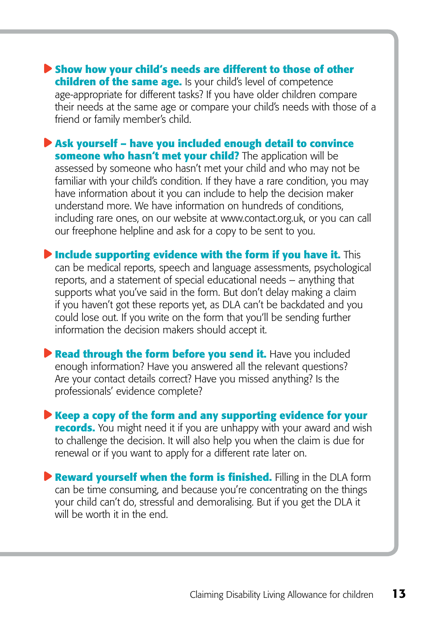**Show how your child's needs are different to those of other children of the same age.** Is your child's level of competence age-appropriate for different tasks? If you have older children compare their needs at the same age or compare your child's needs with those of a friend or family member's child.

**Ask yourself – have you included enough detail to convince someone who hasn't met your child?** The application will be assessed by someone who hasn't met your child and who may not be familiar with your child's condition. If they have a rare condition, you may have information about it you can include to help the decision maker understand more. We have information on hundreds of conditions, including rare ones, on our website at www.contact.org.uk, or you can call our freephone helpline and ask for a copy to be sent to you.

**Include supporting evidence with the form if you have it.** This can be medical reports, speech and language assessments, psychological reports, and a statement of special educational needs – anything that supports what you've said in the form. But don't delay making a claim if you haven't got these reports yet, as DLA can't be backdated and you could lose out. If you write on the form that you'll be sending further information the decision makers should accept it.

**P Read through the form before you send it.** Have you included enough information? Have you answered all the relevant questions? Are your contact details correct? Have you missed anything? Is the professionals' evidence complete?

**Keep a copy of the form and any supporting evidence for your records.** You might need it if you are unhappy with your award and wish to challenge the decision. It will also help you when the claim is due for renewal or if you want to apply for a different rate later on.

**P** Reward vourself when the form is finished. Filling in the DLA form can be time consuming, and because you're concentrating on the things your child can't do, stressful and demoralising. But if you get the DLA it will be worth it in the end.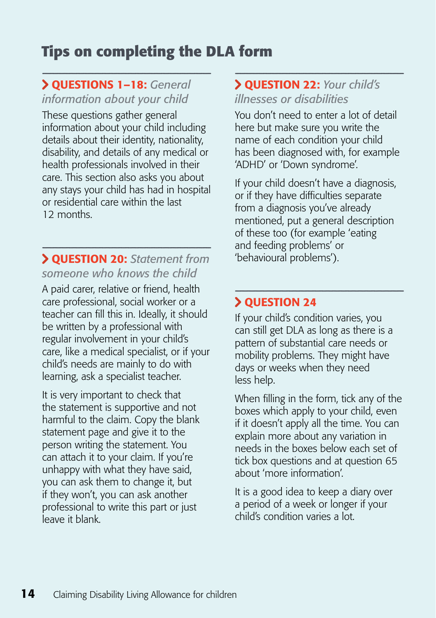# **Tips on completing the DLA form**

#### Questions 1–18: *General information about your child*

These questions gather general information about your child including details about their identity, nationality, disability, and details of any medical or health professionals involved in their care. This section also asks you about any stays your child has had in hospital or residential care within the last 12 months.

#### Question 20: *Statement from someone who knows the child*

A paid carer, relative or friend, health care professional, social worker or a teacher can fill this in. Ideally, it should be written by a professional with regular involvement in your child's care, like a medical specialist, or if your child's needs are mainly to do with learning, ask a specialist teacher.

It is very important to check that the statement is supportive and not harmful to the claim. Copy the blank statement page and give it to the person writing the statement. You can attach it to your claim. If you're unhappy with what they have said, you can ask them to change it, but if they won't, you can ask another professional to write this part or just leave it blank.

#### Question 22: *Your child's*

*illnesses or disabilities* 

You don't need to enter a lot of detail here but make sure you write the name of each condition your child has been diagnosed with, for example 'ADHD' or 'Down syndrome'.

If your child doesn't have a diagnosis, or if they have difficulties separate from a diagnosis you've already mentioned, put a general description of these too (for example 'eating and feeding problems' or 'behavioural problems').

#### **> QUESTION 24**

If your child's condition varies, you can still get DLA as long as there is a pattern of substantial care needs or mobility problems. They might have days or weeks when they need less help.

When filling in the form, tick any of the boxes which apply to your child, even if it doesn't apply all the time. You can explain more about any variation in needs in the boxes below each set of tick box questions and at question 65 about 'more information'.

It is a good idea to keep a diary over a period of a week or longer if your child's condition varies a lot.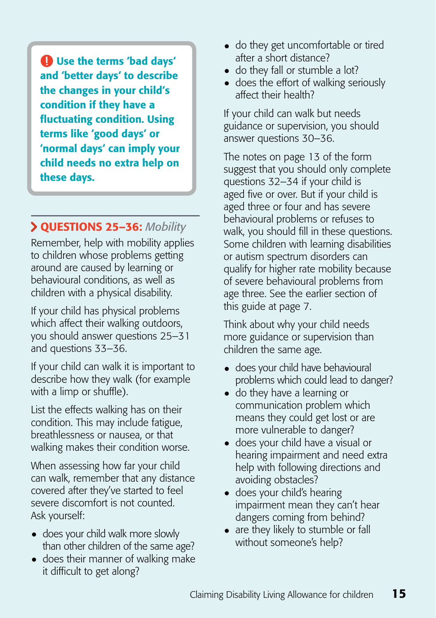Use the terms 'bad days' and 'better days' to describe the changes in your child's condition if they have a fluctuating condition. Using terms like 'good days' or 'normal days' can imply your child needs no extra help on these days.

## Questions 25–36: *Mobility*

Remember, help with mobility applies to children whose problems getting around are caused by learning or behavioural conditions, as well as children with a physical disability.

If your child has physical problems which affect their walking outdoors, you should answer questions 25–31 and questions 33–36.

If your child can walk it is important to describe how they walk (for example with a limp or shuffle).

List the effects walking has on their condition. This may include fatigue, breathlessness or nausea, or that walking makes their condition worse.

When assessing how far your child can walk, remember that any distance covered after they've started to feel severe discomfort is not counted. Ask yourself:

- does your child walk more slowly than other children of the same age?
- does their manner of walking make it difficult to get along?
- do they get uncomfortable or tired after a short distance?
- do they fall or stumble a lot?
- does the effort of walking seriously affect their health?

If your child can walk but needs guidance or supervision, you should answer questions 30–36.

The notes on page 13 of the form suggest that you should only complete questions 32–34 if your child is aged five or over. But if your child is aged three or four and has severe behavioural problems or refuses to walk, you should fill in these questions. Some children with learning disabilities or autism spectrum disorders can qualify for higher rate mobility because of severe behavioural problems from age three. See the earlier section of this guide at page 7.

Think about why your child needs more guidance or supervision than children the same age.

- does your child have behavioural problems which could lead to danger?
- do they have a learning or communication problem which means they could get lost or are more vulnerable to danger?
- does your child have a visual or hearing impairment and need extra help with following directions and avoiding obstacles?
- does your child's hearing impairment mean they can't hear dangers coming from behind?
- are they likely to stumble or fall without someone's help?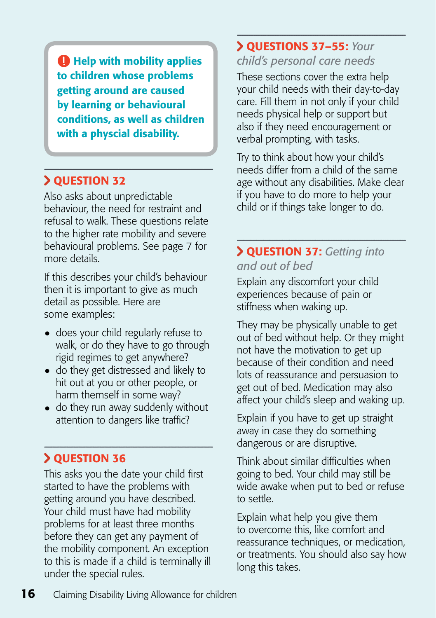**Help with mobility applies** to children whose problems getting around are caused by learning or behavioural conditions, as well as children with a physcial disability.

## **> QUESTION 32**

Also asks about unpredictable behaviour, the need for restraint and refusal to walk. These questions relate to the higher rate mobility and severe behavioural problems. See page 7 for more details.

If this describes your child's behaviour then it is important to give as much detail as possible. Here are some examples:

- does your child regularly refuse to walk, or do they have to go through rigid regimes to get anywhere?
- do they get distressed and likely to hit out at you or other people, or harm themself in some way?
- do they run away suddenly without attention to dangers like traffic?

## Question 36

This asks you the date your child first started to have the problems with getting around you have described. Your child must have had mobility problems for at least three months before they can get any payment of the mobility component. An exception to this is made if a child is terminally ill under the special rules.

#### Questions 37–55: *Your child's personal care needs*

These sections cover the extra help your child needs with their day-to-day care. Fill them in not only if your child needs physical help or support but also if they need encouragement or verbal prompting, with tasks.

Try to think about how your child's needs differ from a child of the same age without any disabilities. Make clear if you have to do more to help your child or if things take longer to do.

#### Question 37: *Getting into and out of bed*

Explain any discomfort your child experiences because of pain or stiffness when waking up.

They may be physically unable to get out of bed without help. Or they might not have the motivation to get up because of their condition and need lots of reassurance and persuasion to get out of bed. Medication may also affect your child's sleep and waking up.

Explain if you have to get up straight away in case they do something dangerous or are disruptive.

Think about similar difficulties when going to bed. Your child may still be wide awake when put to bed or refuse to settle.

Explain what help you give them to overcome this, like comfort and reassurance techniques, or medication, or treatments. You should also say how long this takes.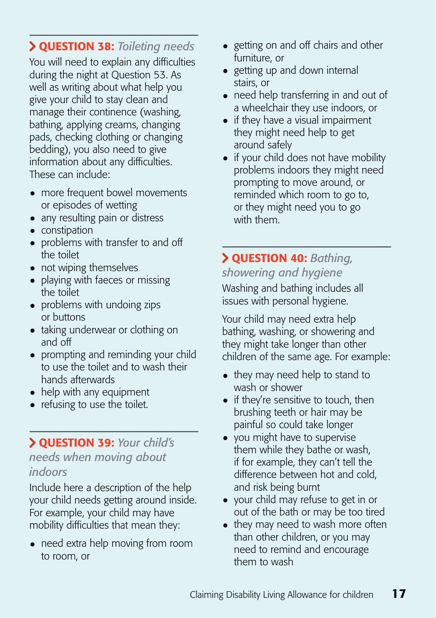## Question 38: *Toileting needs*

You will need to explain any difficulties during the night at Question 53. As well as writing about what help you give your child to stay clean and manage their continence (washing, bathing, applying creams, changing pads, checking clothing or changing bedding), you also need to give information about any difficulties. These can include:

- more frequent bowel movements or episodes of wetting
- any resulting pain or distress
- constipation
- problems with transfer to and off the toilet
- not wiping themselves
- playing with faeces or missing the toilet
- problems with undoing zips or buttons
- taking underwear or clothing on and off
- prompting and reminding your child to use the toilet and to wash their hands afterwards
- help with any equipment
- refusing to use the toilet.

# Question 39: *Your child's*

## *needs when moving about indoors*

Include here a description of the help your child needs getting around inside. For example, your child may have mobility difficulties that mean they:

• need extra help moving from room to room, or

- getting on and off chairs and other furniture, or
- getting up and down internal stairs, or
- need help transferring in and out of a wheelchair they use indoors, or
- if they have a visual impairment they might need help to get around safely
- if your child does not have mobility problems indoors they might need prompting to move around, or reminded which room to go to, or they might need you to go with them.

## Question 40: *Bathing, showering and hygiene*

Washing and bathing includes all issues with personal hygiene.

Your child may need extra help bathing, washing, or showering and they might take longer than other children of the same age. For example:

- they may need help to stand to wash or shower
- if they're sensitive to touch, then brushing teeth or hair may be painful so could take longer
- you might have to supervise them while they bathe or wash, if for example, they can't tell the difference between hot and cold, and risk being burnt
- your child may refuse to get in or out of the bath or may be too tired
- they may need to wash more often than other children, or you may need to remind and encourage them to wash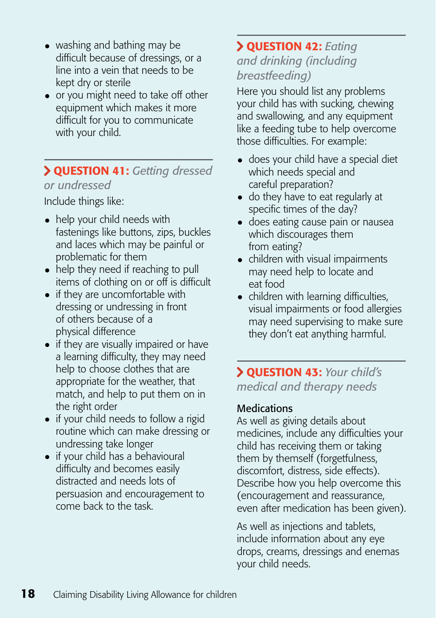- washing and bathing may be difficult because of dressings, or a line into a vein that needs to be kept dry or sterile
- or you might need to take off other equipment which makes it more difficult for you to communicate with your child.

#### Question 41: *Getting dressed or undressed*

Include things like:

- help your child needs with fastenings like buttons, zips, buckles and laces which may be painful or problematic for them
- help they need if reaching to pull items of clothing on or off is difficult
- if they are uncomfortable with dressing or undressing in front of others because of a physical difference
- if they are visually impaired or have a learning difficulty, they may need help to choose clothes that are appropriate for the weather, that match, and help to put them on in the right order
- if your child needs to follow a rigid routine which can make dressing or undressing take longer
- if your child has a behavioural difficulty and becomes easily distracted and needs lots of persuasion and encouragement to come back to the task.

#### Question 42: *Eating and drinking (including breastfeeding)*

Here you should list any problems your child has with sucking, chewing and swallowing, and any equipment like a feeding tube to help overcome those difficulties. For example:

- does your child have a special diet which needs special and careful preparation?
- do they have to eat regularly at specific times of the day?
- does eating cause pain or nausea which discourages them from eating?
- children with visual impairments may need help to locate and eat food
- children with learning difficulties, visual impairments or food allergies may need supervising to make sure they don't eat anything harmful.

 Question 43: *Your child's medical and therapy needs* 

#### **Medications**

As well as giving details about medicines, include any difficulties your child has receiving them or taking them by themself (forgetfulness, discomfort, distress, side effects). Describe how you help overcome this (encouragement and reassurance, even after medication has been given).

As well as injections and tablets, include information about any eye drops, creams, dressings and enemas your child needs.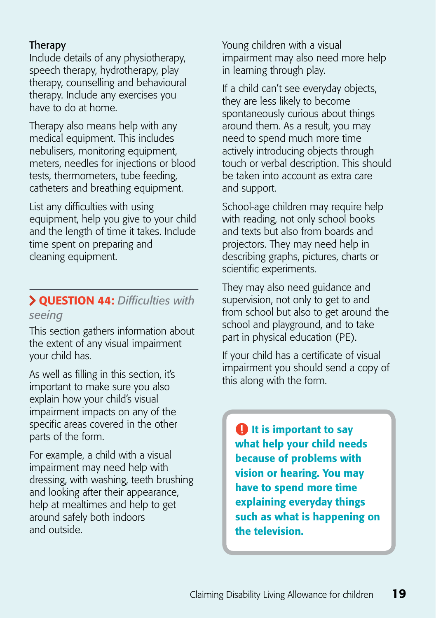#### Therapy

Include details of any physiotherapy, speech therapy, hydrotherapy, play therapy, counselling and behavioural therapy. Include any exercises you have to do at home.

Therapy also means help with any medical equipment. This includes nebulisers, monitoring equipment, meters, needles for injections or blood tests, thermometers, tube feeding, catheters and breathing equipment.

List any difficulties with using equipment, help you give to your child and the length of time it takes. Include time spent on preparing and cleaning equipment.

## Question 44: *Difficulties with seeing*

This section gathers information about the extent of any visual impairment your child has.

As well as filling in this section, it's important to make sure you also explain how your child's visual impairment impacts on any of the specific areas covered in the other parts of the form.

For example, a child with a visual impairment may need help with dressing, with washing, teeth brushing and looking after their appearance, help at mealtimes and help to get around safely both indoors and outside.

Young children with a visual impairment may also need more help in learning through play.

If a child can't see everyday objects, they are less likely to become spontaneously curious about things around them. As a result, you may need to spend much more time actively introducing objects through touch or verbal description. This should be taken into account as extra care and support.

School-age children may require help with reading, not only school books and texts but also from boards and projectors. They may need help in describing graphs, pictures, charts or scientific experiments.

They may also need guidance and supervision, not only to get to and from school but also to get around the school and playground, and to take part in physical education (PE).

If your child has a certificate of visual impairment you should send a copy of this along with the form.

**It is important to say** what help your child needs because of problems with vision or hearing. You may have to spend more time explaining everyday things such as what is happening on the television.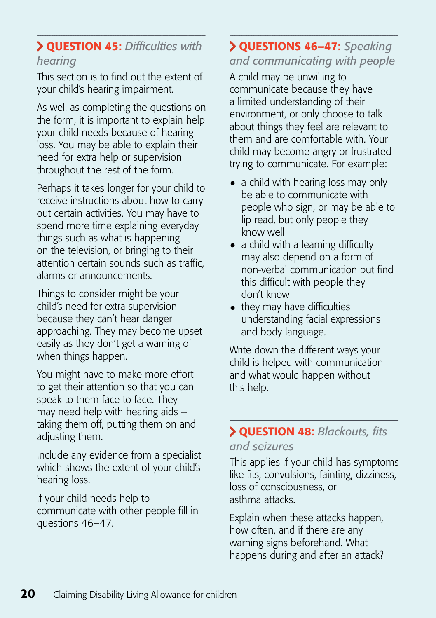#### Question 45: *Difficulties with hearing*

This section is to find out the extent of your child's hearing impairment.

As well as completing the questions on the form, it is important to explain help your child needs because of hearing loss. You may be able to explain their need for extra help or supervision throughout the rest of the form.

Perhaps it takes longer for your child to receive instructions about how to carry out certain activities. You may have to spend more time explaining everyday things such as what is happening on the television, or bringing to their attention certain sounds such as traffic, alarms or announcements.

Things to consider might be your child's need for extra supervision because they can't hear danger approaching. They may become upset easily as they don't get a warning of when things happen.

You might have to make more effort to get their attention so that you can speak to them face to face. They may need help with hearing aids – taking them off, putting them on and adjusting them.

Include any evidence from a specialist which shows the extent of your child's hearing loss.

If your child needs help to communicate with other people fill in questions 46–47.

## Questions 46–47: *Speaking and communicating with people*

A child may be unwilling to communicate because they have a limited understanding of their environment, or only choose to talk about things they feel are relevant to them and are comfortable with. Your child may become angry or frustrated trying to communicate. For example:

- a child with hearing loss may only be able to communicate with people who sign, or may be able to lip read, but only people they know well
- a child with a learning difficulty may also depend on a form of non-verbal communication but find this difficult with people they don't know
- they may have difficulties understanding facial expressions and body language.

Write down the different ways your child is helped with communication and what would happen without this help.

#### Question 48: *Blackouts, fits and seizures*

This applies if your child has symptoms like fits, convulsions, fainting, dizziness, loss of consciousness, or asthma attacks.

Explain when these attacks happen, how often, and if there are any warning signs beforehand. What happens during and after an attack?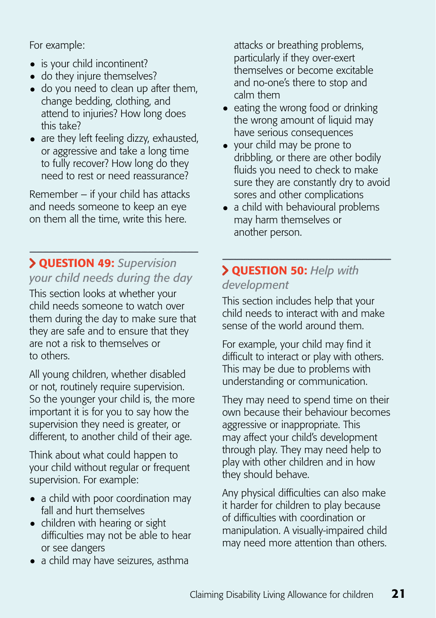For example:

- is your child incontinent?
- do they injure themselves?
- do you need to clean up after them, change bedding, clothing, and attend to injuries? How long does this take?
- are they left feeling dizzy, exhausted, or aggressive and take a long time to fully recover? How long do they need to rest or need reassurance?

Remember – if your child has attacks and needs someone to keep an eye on them all the time, write this here.

## Question 49: *Supervision your child needs during the day*

This section looks at whether your child needs someone to watch over them during the day to make sure that they are safe and to ensure that they are not a risk to themselves or to others.

All young children, whether disabled or not, routinely require supervision. So the younger your child is, the more important it is for you to say how the supervision they need is greater, or different, to another child of their age.

Think about what could happen to your child without regular or frequent supervision. For example:

- a child with poor coordination may fall and hurt themselves
- children with hearing or sight difficulties may not be able to hear or see dangers
- a child may have seizures, asthma

attacks or breathing problems, particularly if they over-exert themselves or become excitable and no-one's there to stop and calm them

- eating the wrong food or drinking the wrong amount of liquid may have serious consequences
- your child may be prone to dribbling, or there are other bodily fluids you need to check to make sure they are constantly dry to avoid sores and other complications
- $\bullet$  a child with behavioural problems may harm themselves or another person.

## Question 50: *Help with development*

This section includes help that your child needs to interact with and make sense of the world around them.

For example, your child may find it difficult to interact or play with others. This may be due to problems with understanding or communication.

They may need to spend time on their own because their behaviour becomes aggressive or inappropriate. This may affect your child's development through play. They may need help to play with other children and in how they should behave.

Any physical difficulties can also make it harder for children to play because of difficulties with coordination or manipulation. A visually-impaired child may need more attention than others.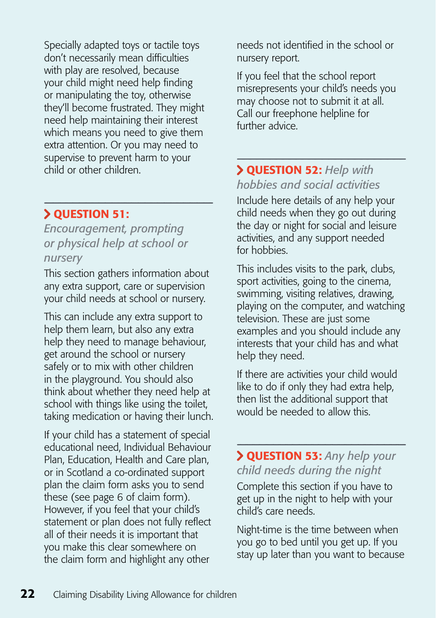Specially adapted toys or tactile toys don't necessarily mean difficulties with play are resolved, because your child might need help finding or manipulating the toy, otherwise they'll become frustrated. They might need help maintaining their interest which means you need to give them extra attention. Or you may need to supervise to prevent harm to your child or other children.

## Question 51:

*Encouragement, prompting or physical help at school or nursery*

This section gathers information about any extra support, care or supervision your child needs at school or nursery.

This can include any extra support to help them learn, but also any extra help they need to manage behaviour, get around the school or nursery safely or to mix with other children in the playground. You should also think about whether they need help at school with things like using the toilet, taking medication or having their lunch.

If your child has a statement of special educational need, Individual Behaviour Plan, Education, Health and Care plan, or in Scotland a co-ordinated support plan the claim form asks you to send these (see page 6 of claim form). However, if you feel that your child's statement or plan does not fully reflect all of their needs it is important that you make this clear somewhere on the claim form and highlight any other

needs not identified in the school or nursery report.

If you feel that the school report misrepresents your child's needs you may choose not to submit it at all. Call our freephone helpline for further advice.

#### Question 52: *Help with hobbies and social activities*

Include here details of any help your child needs when they go out during the day or night for social and leisure activities, and any support needed for hobbies.

This includes visits to the park, clubs, sport activities, going to the cinema, swimming, visiting relatives, drawing, playing on the computer, and watching television. These are just some examples and you should include any interests that your child has and what help they need.

If there are activities your child would like to do if only they had extra help, then list the additional support that would be needed to allow this.

 Question 53: *Any help your child needs during the night*

Complete this section if you have to get up in the night to help with your child's care needs.

Night-time is the time between when you go to bed until you get up. If you stay up later than you want to because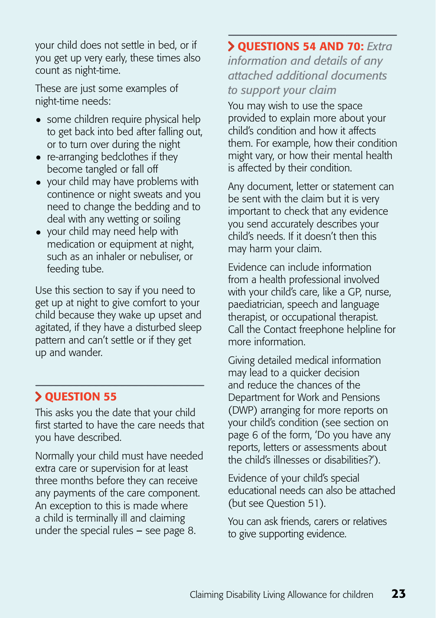your child does not settle in bed, or if you get up very early, these times also count as night-time.

These are just some examples of night-time needs:

- some children require physical help to get back into bed after falling out, or to turn over during the night
- re-arranging bedclothes if they become tangled or fall off
- your child may have problems with continence or night sweats and you need to change the bedding and to deal with any wetting or soiling
- your child may need help with medication or equipment at night, such as an inhaler or nebuliser, or feeding tube.

Use this section to say if you need to get up at night to give comfort to your child because they wake up upset and agitated, if they have a disturbed sleep pattern and can't settle or if they get up and wander.

#### **> QUESTION 55**

This asks you the date that your child first started to have the care needs that you have described.

Normally your child must have needed extra care or supervision for at least three months before they can receive any payments of the care component. An exception to this is made where a child is terminally ill and claiming under the special rules – see page 8.

#### Questions 54 and 70: *Extra*

*information and details of any attached additional documents to support your claim*

You may wish to use the space provided to explain more about your child's condition and how it affects them. For example, how their condition might vary, or how their mental health is affected by their condition.

Any document, letter or statement can be sent with the claim but it is very important to check that any evidence you send accurately describes your child's needs. If it doesn't then this may harm your claim.

Evidence can include information from a health professional involved with your child's care, like a GP, nurse, paediatrician, speech and language therapist, or occupational therapist. Call the Contact freephone helpline for more information.

Giving detailed medical information may lead to a quicker decision and reduce the chances of the Department for Work and Pensions (DWP) arranging for more reports on your child's condition (see section on page 6 of the form, 'Do you have any reports, letters or assessments about the child's illnesses or disabilities?').

Evidence of your child's special educational needs can also be attached (but see Question 51).

You can ask friends, carers or relatives to give supporting evidence.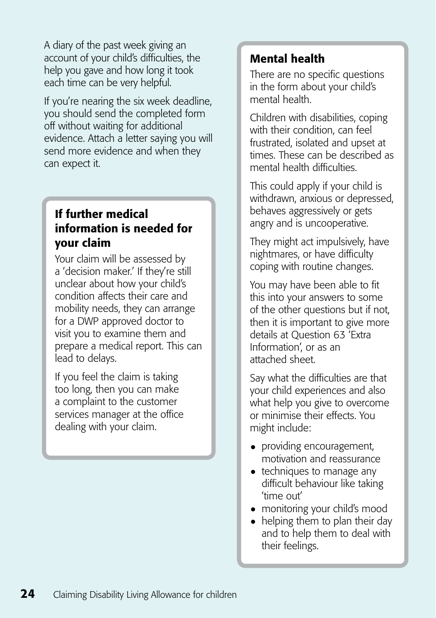A diary of the past week giving an account of your child's difficulties, the help you gave and how long it took each time can be very helpful.

If you're nearing the six week deadline, you should send the completed form off without waiting for additional evidence. Attach a letter saying you will send more evidence and when they can expect it.

#### If further medical information is needed for your claim

Your claim will be assessed by a 'decision maker.' If they're still unclear about how your child's condition affects their care and mobility needs, they can arrange for a DWP approved doctor to visit you to examine them and prepare a medical report. This can lead to delays.

If you feel the claim is taking too long, then you can make a complaint to the customer services manager at the office dealing with your claim.

## Mental health

There are no specific questions in the form about your child's mental health.

Children with disabilities, coping with their condition, can feel frustrated, isolated and upset at times. These can be described as mental health difficulties.

This could apply if your child is withdrawn, anxious or depressed, behaves aggressively or gets angry and is uncooperative.

They might act impulsively, have nightmares, or have difficulty coping with routine changes.

You may have been able to fit this into your answers to some of the other questions but if not, then it is important to give more details at Question 63 'Extra Information', or as an attached sheet.

Say what the difficulties are that your child experiences and also what help you give to overcome or minimise their effects. You might include:

- providing encouragement, motivation and reassurance
- techniques to manage any difficult behaviour like taking 'time out'
- monitoring your child's mood
- helping them to plan their day and to help them to deal with their feelings.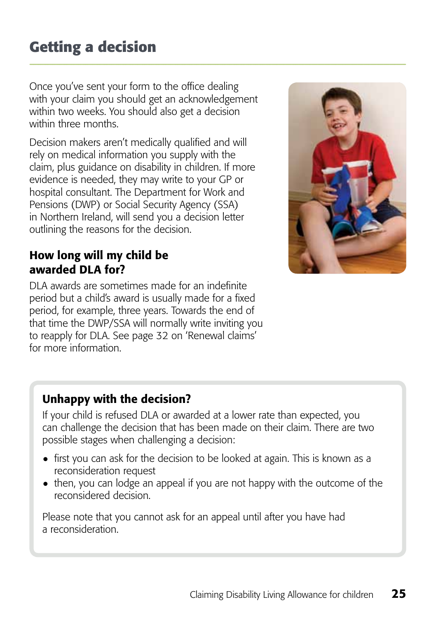Once you've sent your form to the office dealing with your claim you should get an acknowledgement within two weeks. You should also get a decision within three months

Decision makers aren't medically qualified and will rely on medical information you supply with the claim, plus guidance on disability in children. If more evidence is needed, they may write to your GP or hospital consultant. The Department for Work and Pensions (DWP) or Social Security Agency (SSA) in Northern Ireland, will send you a decision letter outlining the reasons for the decision.



## How long will my child be awarded DLA for?

DLA awards are sometimes made for an indefinite period but a child's award is usually made for a fixed period, for example, three years. Towards the end of that time the DWP/SSA will normally write inviting you to reapply for DLA. See page 32 on 'Renewal claims' for more information.

## Unhappy with the decision?

If your child is refused DLA or awarded at a lower rate than expected, you can challenge the decision that has been made on their claim. There are two possible stages when challenging a decision:

- first you can ask for the decision to be looked at again. This is known as a reconsideration request
- then, you can lodge an appeal if you are not happy with the outcome of the reconsidered decision.

Please note that you cannot ask for an appeal until after you have had a reconsideration.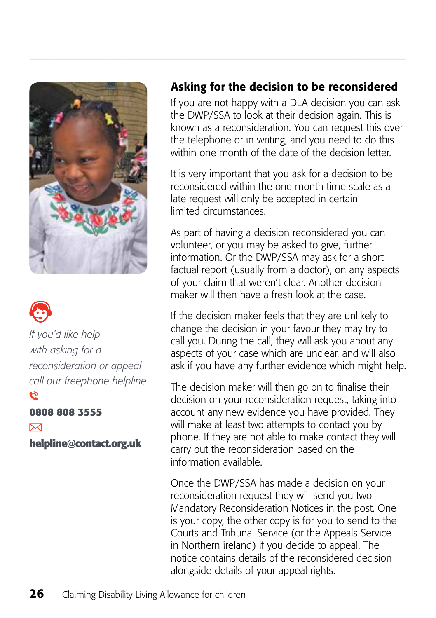



*If you'd like help with asking for a reconsideration or appeal call our freephone helpline*  $\tilde{\bm{c}}$ 

#### **0808 808 3555**

 $\nabla$ **helpline@contact.org.uk**

#### Asking for the decision to be reconsidered

If you are not happy with a DLA decision you can ask the DWP/SSA to look at their decision again. This is known as a reconsideration. You can request this over the telephone or in writing, and you need to do this within one month of the date of the decision letter.

It is very important that you ask for a decision to be reconsidered within the one month time scale as a late request will only be accepted in certain limited circumstances.

As part of having a decision reconsidered you can volunteer, or you may be asked to give, further information. Or the DWP/SSA may ask for a short factual report (usually from a doctor), on any aspects of your claim that weren't clear. Another decision maker will then have a fresh look at the case.

If the decision maker feels that they are unlikely to change the decision in your favour they may try to call you. During the call, they will ask you about any aspects of your case which are unclear, and will also ask if you have any further evidence which might help.

The decision maker will then go on to finalise their decision on your reconsideration request, taking into account any new evidence you have provided. They will make at least two attempts to contact you by phone. If they are not able to make contact they will carry out the reconsideration based on the information available.

Once the DWP/SSA has made a decision on your reconsideration request they will send you two Mandatory Reconsideration Notices in the post. One is your copy, the other copy is for you to send to the Courts and Tribunal Service (or the Appeals Service in Northern ireland) if you decide to appeal. The notice contains details of the reconsidered decision alongside details of your appeal rights.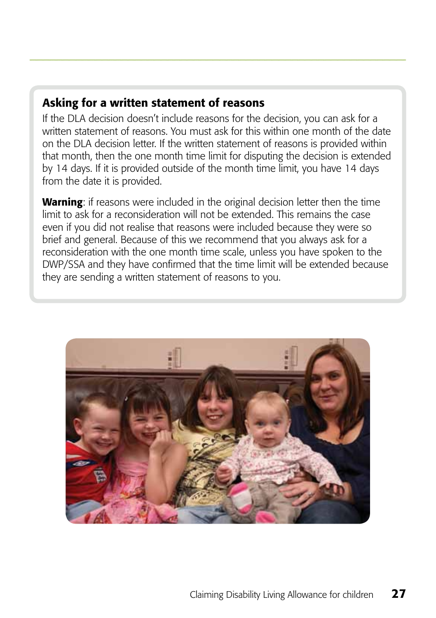## Asking for a written statement of reasons

If the DLA decision doesn't include reasons for the decision, you can ask for a written statement of reasons. You must ask for this within one month of the date on the DLA decision letter. If the written statement of reasons is provided within that month, then the one month time limit for disputing the decision is extended by 14 days. If it is provided outside of the month time limit, you have 14 days from the date it is provided.

Warning: if reasons were included in the original decision letter then the time limit to ask for a reconsideration will not be extended. This remains the case even if you did not realise that reasons were included because they were so brief and general. Because of this we recommend that you always ask for a reconsideration with the one month time scale, unless you have spoken to the DWP/SSA and they have confirmed that the time limit will be extended because they are sending a written statement of reasons to you.

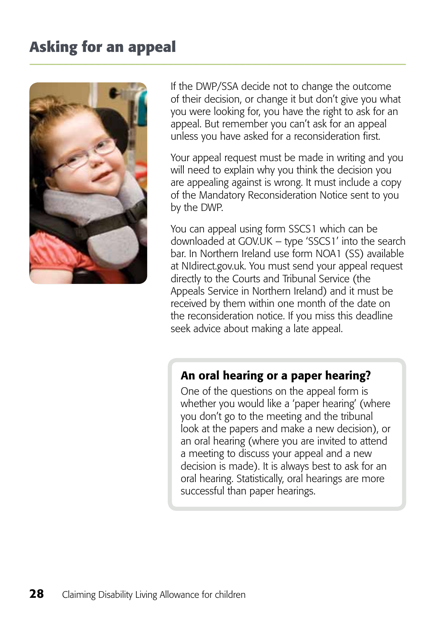# **Asking for an appeal**



If the DWP/SSA decide not to change the outcome of their decision, or change it but don't give you what you were looking for, you have the right to ask for an appeal. But remember you can't ask for an appeal unless you have asked for a reconsideration first.

Your appeal request must be made in writing and you will need to explain why you think the decision you are appealing against is wrong. It must include a copy of the Mandatory Reconsideration Notice sent to you by the DWP.

You can appeal using form SSCS1 which can be downloaded at GOV.UK – type 'SSCS1' into the search bar. In Northern Ireland use form NOA1 (SS) available at NIdirect.gov.uk. You must send your appeal request directly to the Courts and Tribunal Service (the Appeals Service in Northern Ireland) and it must be received by them within one month of the date on the reconsideration notice. If you miss this deadline seek advice about making a late appeal.

#### An oral hearing or a paper hearing?

One of the questions on the appeal form is whether you would like a 'paper hearing' (where you don't go to the meeting and the tribunal look at the papers and make a new decision), or an oral hearing (where you are invited to attend a meeting to discuss your appeal and a new decision is made). It is always best to ask for an oral hearing. Statistically, oral hearings are more successful than paper hearings.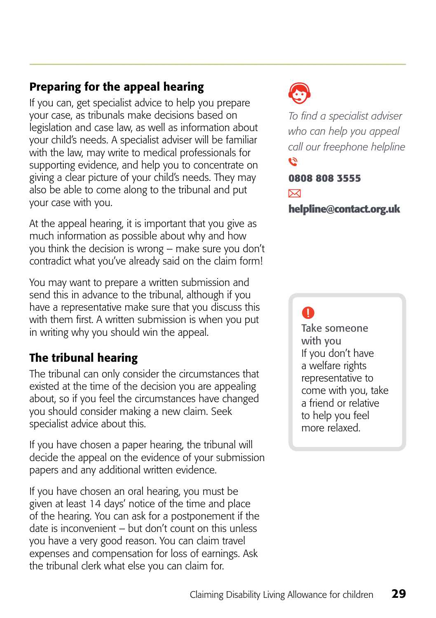## Preparing for the appeal hearing

If you can, get specialist advice to help you prepare your case, as tribunals make decisions based on legislation and case law, as well as information about your child's needs. A specialist adviser will be familiar with the law, may write to medical professionals for supporting evidence, and help you to concentrate on giving a clear picture of your child's needs. They may also be able to come along to the tribunal and put your case with you.

At the appeal hearing, it is important that you give as much information as possible about why and how you think the decision is wrong – make sure you don't contradict what you've already said on the claim form!

You may want to prepare a written submission and send this in advance to the tribunal, although if you have a representative make sure that you discuss this with them first. A written submission is when you put in writing why you should win the appeal.

## The tribunal hearing

The tribunal can only consider the circumstances that existed at the time of the decision you are appealing about, so if you feel the circumstances have changed you should consider making a new claim. Seek specialist advice about this.

If you have chosen a paper hearing, the tribunal will decide the appeal on the evidence of your submission papers and any additional written evidence.

If you have chosen an oral hearing, you must be given at least 14 days' notice of the time and place of the hearing. You can ask for a postponement if the date is inconvenient – but don't count on this unless you have a very good reason. You can claim travel expenses and compensation for loss of earnings. Ask the tribunal clerk what else you can claim for.



*To find a specialist adviser who can help you appeal call our freephone helpline*  $\tilde{\mathcal{L}}$ 

## **0808 808 3555**  ⊠

**helpline@contact.org.uk**

## $\mathbf \Omega$

Take someone with you If you don't have a welfare rights representative to come with you, take a friend or relative to help you feel more relaxed.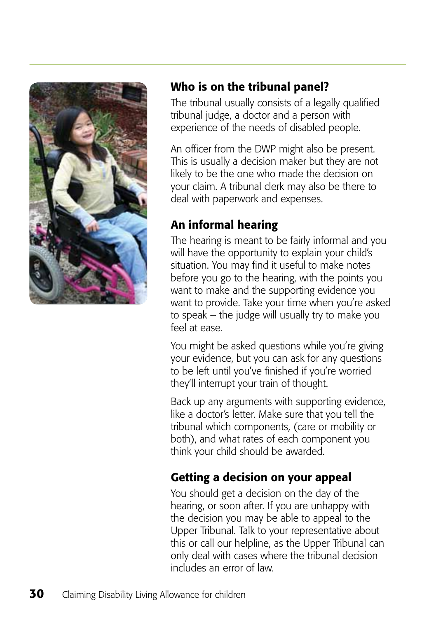

## Who is on the tribunal panel?

The tribunal usually consists of a legally qualified tribunal judge, a doctor and a person with experience of the needs of disabled people.

An officer from the DWP might also be present. This is usually a decision maker but they are not likely to be the one who made the decision on your claim. A tribunal clerk may also be there to deal with paperwork and expenses.

## An informal hearing

The hearing is meant to be fairly informal and you will have the opportunity to explain your child's situation. You may find it useful to make notes before you go to the hearing, with the points you want to make and the supporting evidence you want to provide. Take your time when you're asked to speak – the judge will usually try to make you feel at ease.

You might be asked questions while you're giving your evidence, but you can ask for any questions to be left until you've finished if you're worried they'll interrupt your train of thought.

Back up any arguments with supporting evidence, like a doctor's letter. Make sure that you tell the tribunal which components, (care or mobility or both), and what rates of each component you think your child should be awarded.

## Getting a decision on your appeal

You should get a decision on the day of the hearing, or soon after. If you are unhappy with the decision you may be able to appeal to the Upper Tribunal. Talk to your representative about this or call our helpline, as the Upper Tribunal can only deal with cases where the tribunal decision includes an error of law.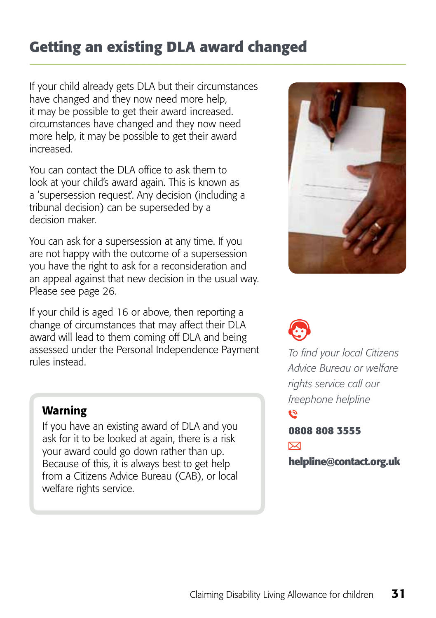# **Getting an existing DLA award changed**

If your child already gets DLA but their circumstances have changed and they now need more help, it may be possible to get their award increased. circumstances have changed and they now need more help, it may be possible to get their award increased.

You can contact the DLA office to ask them to look at your child's award again. This is known as a 'supersession request'. Any decision (including a tribunal decision) can be superseded by a decision maker.

You can ask for a supersession at any time. If you are not happy with the outcome of a supersession you have the right to ask for a reconsideration and an appeal against that new decision in the usual way. Please see page 26.

If your child is aged 16 or above, then reporting a change of circumstances that may affect their DLA award will lead to them coming off DLA and being assessed under the Personal Independence Payment rules instead.



If you have an existing award of DLA and you ask for it to be looked at again, there is a risk your award could go down rather than up. Because of this, it is always best to get help from a Citizens Advice Bureau (CAB), or local welfare rights service.



*To find your local Citizens Advice Bureau or welfare rights service call our freephone helpline* **159 0808 808 3555**   $\boxtimes$ **helpline@contact.org.uk**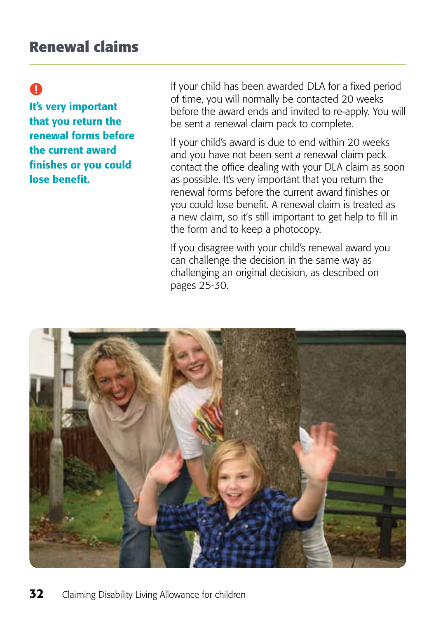# $\bullet$

It's very important that you return the renewal forms before the current award finishes or you could lose benefit.

If your child has been awarded DLA for a fixed period of time, you will normally be contacted 20 weeks before the award ends and invited to re-apply. You will be sent a renewal claim pack to complete.

If your child's award is due to end within 20 weeks and you have not been sent a renewal claim pack contact the office dealing with your DLA claim as soon as possible. It's very important that you return the renewal forms before the current award finishes or you could lose benefit. A renewal claim is treated as a new claim, so it's still important to get help to fill in the form and to keep a photocopy.

If you disagree with your child's renewal award you can challenge the decision in the same way as challenging an original decision, as described on pages 25-30.

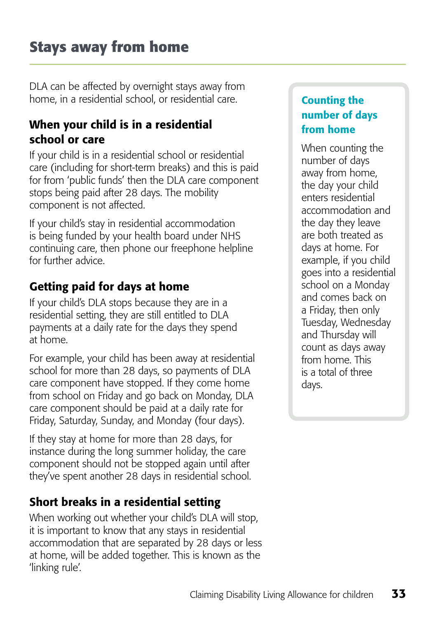DLA can be affected by overnight stays away from home, in a residential school, or residential care.

## When your child is in a residential school or care

If your child is in a residential school or residential care (including for short-term breaks) and this is paid for from 'public funds' then the DLA care component stops being paid after 28 days. The mobility component is not affected.

If your child's stay in residential accommodation is being funded by your health board under NHS continuing care, then phone our freephone helpline for further advice.

## Getting paid for days at home

If your child's DLA stops because they are in a residential setting, they are still entitled to DLA payments at a daily rate for the days they spend at home.

For example, your child has been away at residential school for more than 28 days, so payments of DLA care component have stopped. If they come home from school on Friday and go back on Monday, DLA care component should be paid at a daily rate for Friday, Saturday, Sunday, and Monday (four days).

If they stay at home for more than 28 days, for instance during the long summer holiday, the care component should not be stopped again until after they've spent another 28 days in residential school.

## Short breaks in a residential setting

When working out whether your child's DLA will stop, it is important to know that any stays in residential accommodation that are separated by 28 days or less at home, will be added together. This is known as the 'linking rule'.

#### Counting the number of days from home

When counting the number of days away from home, the day your child enters residential accommodation and the day they leave are both treated as days at home. For example, if you child goes into a residential school on a Monday and comes back on a Friday, then only Tuesday, Wednesday and Thursday will count as days away from home. This is a total of three days.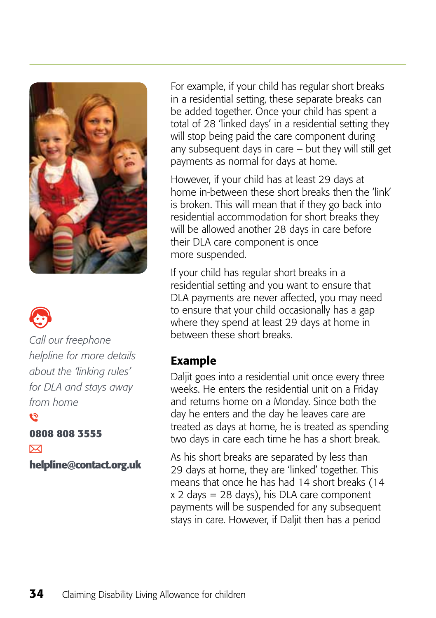



*Call our freephone helpline for more details about the 'linking rules' for DLA and stays away from home*

**0808 808 3555** 

 $\triangleright$ 

**helpline@contact.org.uk**

For example, if your child has regular short breaks in a residential setting, these separate breaks can be added together. Once your child has spent a total of 28 'linked days' in a residential setting they will stop being paid the care component during any subsequent days in care – but they will still get payments as normal for days at home.

However, if your child has at least 29 days at home in-between these short breaks then the 'link' is broken. This will mean that if they go back into residential accommodation for short breaks they will be allowed another 28 days in care before their DLA care component is once more suspended.

If your child has regular short breaks in a residential setting and you want to ensure that DLA payments are never affected, you may need to ensure that your child occasionally has a gap where they spend at least 29 days at home in between these short breaks.

#### Example

Daljit goes into a residential unit once every three weeks. He enters the residential unit on a Friday and returns home on a Monday. Since both the day he enters and the day he leaves care are treated as days at home, he is treated as spending two days in care each time he has a short break.

As his short breaks are separated by less than 29 days at home, they are 'linked' together. This means that once he has had 14 short breaks (14 x 2 days = 28 days), his DLA care component payments will be suspended for any subsequent stays in care. However, if Daljit then has a period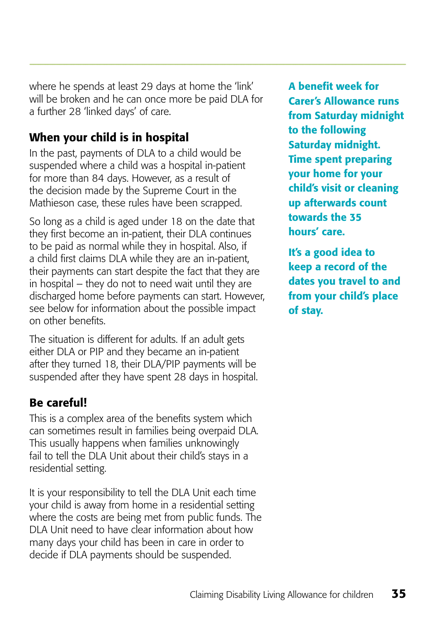where he spends at least 29 days at home the 'link' will be broken and he can once more be paid DLA for a further 28 'linked days' of care.

## When your child is in hospital

In the past, payments of DLA to a child would be suspended where a child was a hospital in-patient for more than 84 days. However, as a result of the decision made by the Supreme Court in the Mathieson case, these rules have been scrapped.

So long as a child is aged under 18 on the date that they first become an in-patient, their DLA continues to be paid as normal while they in hospital. Also, if a child first claims DLA while they are an in-patient, their payments can start despite the fact that they are in hospital – they do not to need wait until they are discharged home before payments can start. However, see below for information about the possible impact on other benefits.

The situation is different for adults. If an adult gets either DLA or PIP and they became an in-patient after they turned 18, their DLA/PIP payments will be suspended after they have spent 28 days in hospital.

## Be careful!

This is a complex area of the benefits system which can sometimes result in families being overpaid DLA. This usually happens when families unknowingly fail to tell the DLA Unit about their child's stays in a residential setting.

It is your responsibility to tell the DLA Unit each time your child is away from home in a residential setting where the costs are being met from public funds. The DLA Unit need to have clear information about how many days your child has been in care in order to decide if DLA payments should be suspended.

A benefit week for Carer's Allowance runs from Saturday midnight to the following Saturday midnight. Time spent preparing your home for your child's visit or cleaning up afterwards count towards the 35 hours' care.

It's a good idea to keep a record of the dates you travel to and from your child's place of stay.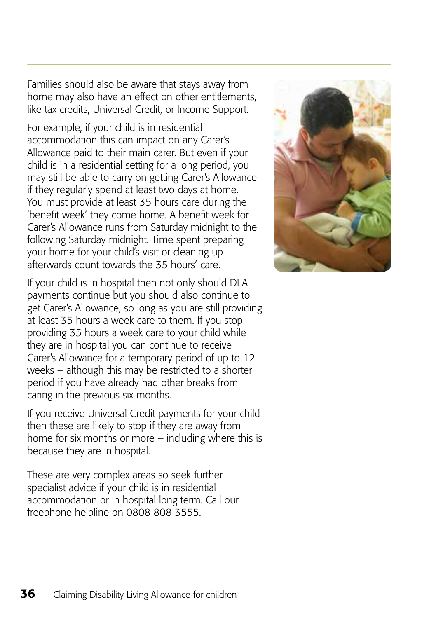Families should also be aware that stays away from home may also have an effect on other entitlements, like tax credits, Universal Credit, or Income Support.

For example, if your child is in residential accommodation this can impact on any Carer's Allowance paid to their main carer. But even if your child is in a residential setting for a long period, you may still be able to carry on getting Carer's Allowance if they regularly spend at least two days at home. You must provide at least 35 hours care during the 'benefit week' they come home. A benefit week for Carer's Allowance runs from Saturday midnight to the following Saturday midnight. Time spent preparing your home for your child's visit or cleaning up afterwards count towards the 35 hours' care.

If your child is in hospital then not only should DLA payments continue but you should also continue to get Carer's Allowance, so long as you are still providing at least 35 hours a week care to them. If you stop providing 35 hours a week care to your child while they are in hospital you can continue to receive Carer's Allowance for a temporary period of up to 12 weeks – although this may be restricted to a shorter period if you have already had other breaks from caring in the previous six months.

If you receive Universal Credit payments for your child then these are likely to stop if they are away from home for six months or more – including where this is because they are in hospital.

These are very complex areas so seek further specialist advice if your child is in residential accommodation or in hospital long term. Call our freephone helpline on 0808 808 3555.

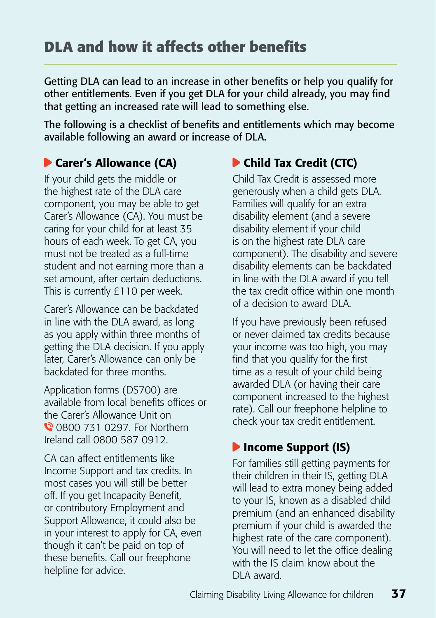Getting DLA can lead to an increase in other benefits or help you qualify for other entitlements. Even if you get DLA for your child already, you may find that getting an increased rate will lead to something else.

The following is a checklist of benefits and entitlements which may become available following an award or increase of DLA.

## **Carer's Allowance (CA)**

If your child gets the middle or the highest rate of the DLA care component, you may be able to get Carer's Allowance (CA). You must be caring for your child for at least 35 hours of each week. To get CA, you must not be treated as a full-time student and not earning more than a set amount, after certain deductions. This is currently £110 per week.

Carer's Allowance can be backdated in line with the DLA award, as long as you apply within three months of getting the DLA decision. If you apply later, Carer's Allowance can only be backdated for three months.

Application forms (DS700) are available from local benefits offices or the Carer's Allowance Unit on **0** 0800 731 0297. For Northern Ireland call 0800 587 0912.

CA can affect entitlements like Income Support and tax credits. In most cases you will still be better off. If you get Incapacity Benefit, or contributory Employment and Support Allowance, it could also be in your interest to apply for CA, even though it can't be paid on top of these benefits. Call our freephone helpline for advice.

## Child Tax Credit (CTC)

Child Tax Credit is assessed more generously when a child gets DLA. Families will qualify for an extra disability element (and a severe disability element if your child is on the highest rate DLA care component). The disability and severe disability elements can be backdated in line with the DLA award if you tell the tax credit office within one month of a decision to award DLA.

If you have previously been refused or never claimed tax credits because your income was too high, you may find that you qualify for the first time as a result of your child being awarded DLA (or having their care component increased to the highest rate). Call our freephone helpline to check your tax credit entitlement.

## **D** Income Support (IS)

For families still getting payments for their children in their IS, getting DLA will lead to extra money being added to your IS, known as a disabled child premium (and an enhanced disability premium if your child is awarded the highest rate of the care component). You will need to let the office dealing with the IS claim know about the DLA award.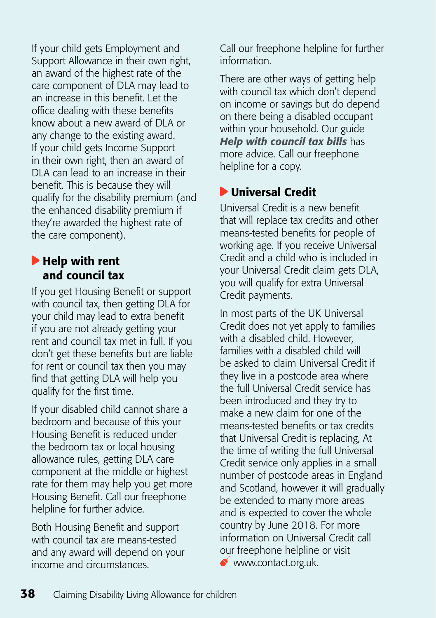If your child gets Employment and Support Allowance in their own right, an award of the highest rate of the care component of DLA may lead to an increase in this benefit. Let the office dealing with these benefits know about a new award of DLA or any change to the existing award. If your child gets Income Support in their own right, then an award of DLA can lead to an increase in their benefit. This is because they will qualify for the disability premium (and the enhanced disability premium if they're awarded the highest rate of the care component).

#### Help with rent and council tax

If you get Housing Benefit or support with council tax, then getting DLA for your child may lead to extra benefit if you are not already getting your rent and council tax met in full. If you don't get these benefits but are liable for rent or council tax then you may find that getting DLA will help you qualify for the first time.

If your disabled child cannot share a bedroom and because of this your Housing Benefit is reduced under the bedroom tax or local housing allowance rules, getting DLA care component at the middle or highest rate for them may help you get more Housing Benefit. Call our freephone helpline for further advice.

Both Housing Benefit and support with council tax are means-tested and any award will depend on your income and circumstances.

Call our freephone helpline for further information.

There are other ways of getting help with council tax which don't depend on income or savings but do depend on there being a disabled occupant within your household. Our guide *[Help with council tax bills](http://www.cafamily.org.uk/advice-and-support/resource-library/parent-guide-help-with-council-tax-bills/)* has more advice. Call our freephone helpline for a copy.

## Universal Credit

Universal Credit is a new benefit that will replace tax credits and other means-tested benefits for people of working age. If you receive Universal Credit and a child who is included in your Universal Credit claim gets DLA, you will qualify for extra Universal Credit payments.

In most parts of the UK Universal Credit does not yet apply to families with a disabled child. However, families with a disabled child will be asked to claim Universal Credit if they live in a postcode area where the full Universal Credit service has been introduced and they try to make a new claim for one of the means-tested benefits or tax credits that Universal Credit is replacing, At the time of writing the full Universal Credit service only applies in a small number of postcode areas in England and Scotland, however it will gradually be extended to many more areas and is expected to cover the whole country by June 2018. For more information on Universal Credit call our freephone helpline or visit [www.contact.org.uk.](http://www.cafamily.org.uk/)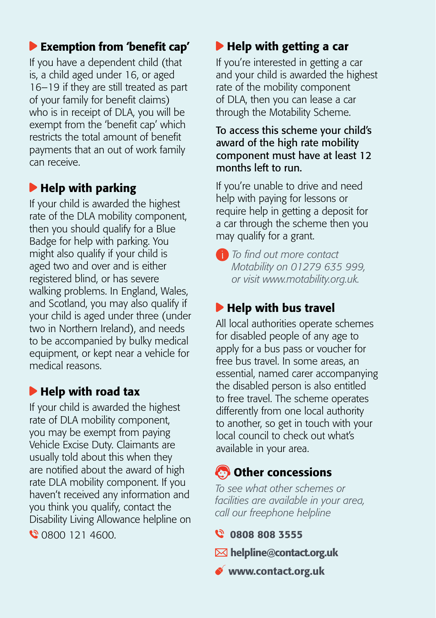## Exemption from 'benefit cap'

If you have a dependent child (that is, a child aged under 16, or aged 16–19 if they are still treated as part of your family for benefit claims) who is in receipt of DLA, you will be exempt from the 'benefit cap' which restricts the total amount of benefit payments that an out of work family can receive.

## $\blacktriangleright$  Help with parking

If your child is awarded the highest rate of the DLA mobility component, then you should qualify for a Blue Badge for help with parking. You might also qualify if your child is aged two and over and is either registered blind, or has severe walking problems. In England, Wales, and Scotland, you may also qualify if your child is aged under three (under two in Northern Ireland), and needs to be accompanied by bulky medical equipment, or kept near a vehicle for medical reasons.

## $\blacktriangleright$  Help with road tax

If your child is awarded the highest rate of DLA mobility component, you may be exempt from paying Vehicle Excise Duty. Claimants are usually told about this when they are notified about the award of high rate DLA mobility component. If you haven't received any information and you think you qualify, contact the Disability Living Allowance helpline on 0800 121 4600.

## $\blacktriangleright$  Help with getting a car

If you're interested in getting a car and your child is awarded the highest rate of the mobility component of DLA, then you can lease a car through the Motability Scheme.

#### To access this scheme your child's award of the high rate mobility component must have at least 12 months left to run.

If you're unable to drive and need help with paying for lessons or require help in getting a deposit for a car through the scheme then you may qualify for a grant.



## $\blacktriangleright$  Help with bus travel

All local authorities operate schemes for disabled people of any age to apply for a bus pass or voucher for free bus travel. In some areas, an essential, named carer accompanying the disabled person is also entitled to free travel. The scheme operates differently from one local authority to another, so get in touch with your local council to check out what's available in your area.

## Other concessions

*To see what other schemes or facilities are available in your area, call our freephone helpline*

- **Q 0808 808 3555**
- $\boxtimes$  helpline@contact.org.uk
- ◆ www.contact.org.uk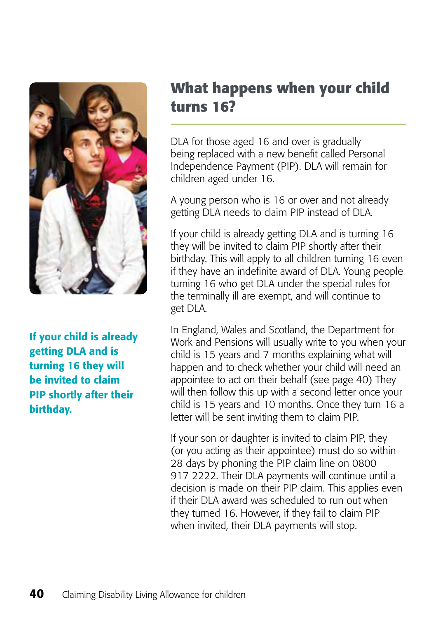

If your child is already getting DLA and is turning 16 they will be invited to claim PIP shortly after their birthday.

# **What happens when your child turns 16?**

DLA for those aged 16 and over is gradually being replaced with a new benefit called Personal Independence Payment (PIP). DLA will remain for children aged under 16.

A young person who is 16 or over and not already getting DLA needs to claim PIP instead of DLA.

If your child is already getting DLA and is turning 16 they will be invited to claim PIP shortly after their birthday. This will apply to all children turning 16 even if they have an indefinite award of DLA. Young people turning 16 who get DLA under the special rules for the terminally ill are exempt, and will continue to get DLA.

In England, Wales and Scotland, the Department for Work and Pensions will usually write to you when your child is 15 years and 7 months explaining what will happen and to check whether your child will need an appointee to act on their behalf (see page 40) They will then follow this up with a second letter once your child is 15 years and 10 months. Once they turn 16 a letter will be sent inviting them to claim PIP.

If your son or daughter is invited to claim PIP, they (or you acting as their appointee) must do so within 28 days by phoning the PIP claim line on 0800 917 2222. Their DLA payments will continue until a decision is made on their PIP claim. This applies even if their DLA award was scheduled to run out when they turned 16. However, if they fail to claim PIP when invited, their DLA payments will stop.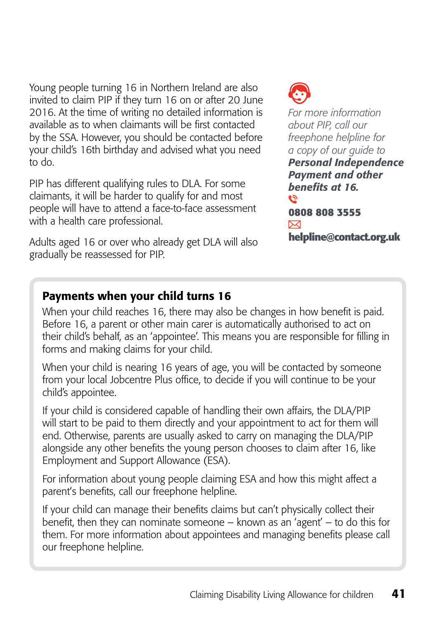Young people turning 16 in Northern Ireland are also invited to claim PIP if they turn 16 on or after 20 June 2016. At the time of writing no detailed information is available as to when claimants will be first contacted by the SSA. However, you should be contacted before your child's 16th birthday and advised what you need to do.

PIP has different qualifying rules to DLA. For some claimants, it will be harder to qualify for and most people will have to attend a face-to-face assessment with a health care professional.

Adults aged 16 or over who already get DLA will also gradually be reassessed for PIP.



*For more information about PIP, call our freephone helpline for a copy of our guide to [Personal Independence](http://www.cafamily.org.uk/advice-and-support/resource-library/parent-guide-personal-independence-payment-and-other-benefits-at-16/)  [Payment and other](http://www.cafamily.org.uk/advice-and-support/resource-library/parent-guide-personal-independence-payment-and-other-benefits-at-16/)  [benefits at 16.](http://www.cafamily.org.uk/advice-and-support/resource-library/parent-guide-personal-independence-payment-and-other-benefits-at-16/)* **رج 0808 808 3555**   $\overline{\mathsf{x}}$ **helpline@contact.org.uk**

## Payments when your child turns 16

When your child reaches 16, there may also be changes in how benefit is paid. Before 16, a parent or other main carer is automatically authorised to act on their child's behalf, as an 'appointee'. This means you are responsible for filling in forms and making claims for your child.

When your child is nearing 16 years of age, you will be contacted by someone from your local Jobcentre Plus office, to decide if you will continue to be your child's appointee.

If your child is considered capable of handling their own affairs, the DLA/PIP will start to be paid to them directly and your appointment to act for them will end. Otherwise, parents are usually asked to carry on managing the DLA/PIP alongside any other benefits the young person chooses to claim after 16, like Employment and Support Allowance (ESA).

For information about young people claiming ESA and how this might affect a parent's benefits, call our freephone helpline.

If your child can manage their benefits claims but can't physically collect their benefit, then they can nominate someone – known as an 'agent' – to do this for them. For more information about appointees and managing benefits please call our freephone helpline.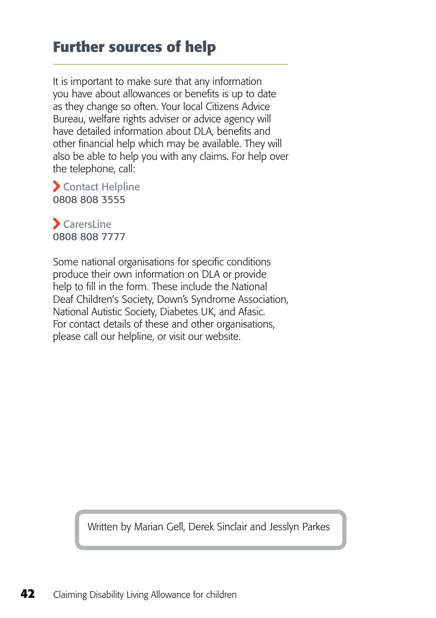# **Further sources of help**

It is important to make sure that any information you have about allowances or benefits is up to date as they change so often. Your local Citizens Advice Bureau, welfare rights adviser or advice agency will have detailed information about DLA, benefits and other financial help which may be available. They will also be able to help you with any claims. For help over the telephone, call:

 Contact Helpline 0808 808 3555

 $\sum$  CarersLine 0808 808 7777

Some national organisations for specific conditions produce their own information on DLA or provide help to fill in the form. These include the National Deaf Children's Society, Down's Syndrome Association, National Autistic Society, Diabetes UK, and Afasic. For contact details of these and other organisations, please call our helpline, or visit our website.

Written by Marian Gell, Derek Sinclair and Jesslyn Parkes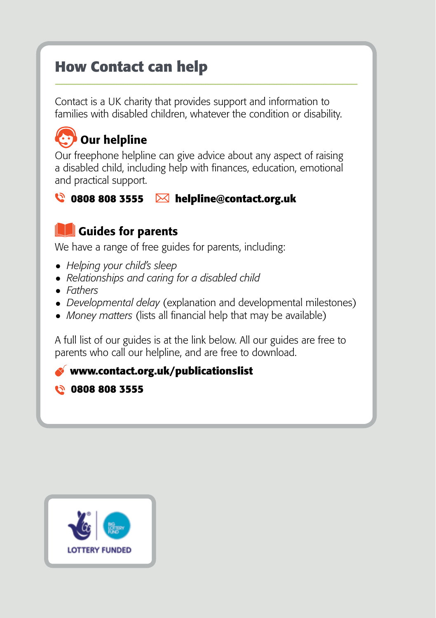# **How Contact can help**

Contact is a UK charity that provides support and information to families with disabled children, whatever the condition or disability.

# Our helpline

Our freephone helpline can give advice about any aspect of raising a disabled child, including help with finances, education, emotional and practical support.

#### **0808 808 3555 helpline@contact.org.uk**

## **Guides for parents**

We have a range of free guides for parents, including:

- • *[Helping your child's sleep](http://www.cafamily.org.uk/advice-and-support/resource-library/parent-guide-helping-your-child-sleep/)*
- • *[Relationships and caring for a disabled child](http://www.cafamily.org.uk/advice-and-support/resource-library/parent-guide-relationships-and-caring-for-a-disabled-child/)*
- • *[Fathers](http://www.cafamily.org.uk/advice-and-support/resource-library/parent-guide-fathers/)*
- • *[Developmental delay](http://www.cafamily.org.uk/advice-and-support/resource-library/parent-guide-about-diagnosis-developmental-delay/)* (explanation and developmental milestones)
- *Money matters* (lists all financial help that may be available)

A full list of our guides is at the link below. All our guides are free to parents who call our helpline, and are free to download.

#### **www.contact.org.uk/publicationslist**

 **0808 808 3555**